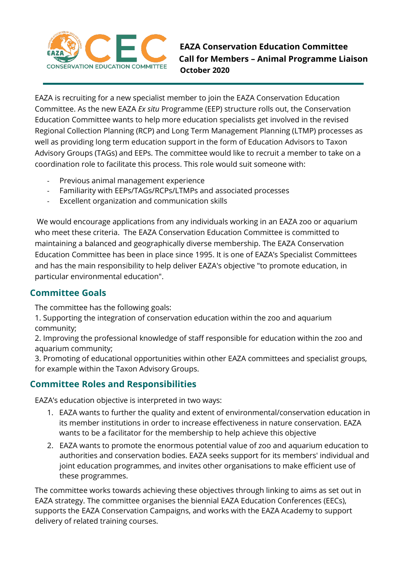

**EAZA Conservation Education Committee Call for Members – Animal Programme Liaison**<br> **Call for Members – Animal Programme Liaison October 2020**

EAZA is recruiting for a new specialist member to join the EAZA Conservation Education Committee. As the new EAZA *Ex situ* Programme (EEP) structure rolls out, the Conservation Education Committee wants to help more education specialists get involved in the revised Regional Collection Planning (RCP) and Long Term Management Planning (LTMP) processes as well as providing long term education support in the form of Education Advisors to Taxon Advisory Groups (TAGs) and EEPs. The committee would like to recruit a member to take on a coordination role to facilitate this process. This role would suit someone with:

- Previous animal management experience
- Familiarity with EEPs/TAGs/RCPs/LTMPs and associated processes
- Excellent organization and communication skills

We would encourage applications from any individuals working in an EAZA zoo or aquarium who meet these criteria. The EAZA Conservation Education Committee is committed to maintaining a balanced and geographically diverse membership. The EAZA Conservation Education Committee has been in place since 1995. It is one of EAZA's Specialist Committees and has the main responsibility to help deliver EAZA's objective "to promote education, in particular environmental education".

## **Committee Goals**

The committee has the following goals:

1. Supporting the integration of conservation education within the zoo and aquarium community;

2. Improving the professional knowledge of staff responsible for education within the zoo and aquarium community;

3. Promoting of educational opportunities within other EAZA committees and specialist groups, for example within the Taxon Advisory Groups.

## **Committee Roles and Responsibilities**

EAZA's education objective is interpreted in two ways:

- 1. EAZA wants to further the quality and extent of environmental/conservation education in its member institutions in order to increase effectiveness in nature conservation. EAZA wants to be a facilitator for the membership to help achieve this objective
- 2. EAZA wants to promote the enormous potential value of zoo and aquarium education to authorities and conservation bodies. EAZA seeks support for its members' individual and joint education programmes, and invites other organisations to make efficient use of these programmes.

The committee works towards achieving these objectives through linking to aims as set out in EAZA strategy. The committee organises the biennial EAZA Education Conferences (EECs), supports the EAZA Conservation Campaigns, and works with the EAZA Academy to support delivery of related training courses.